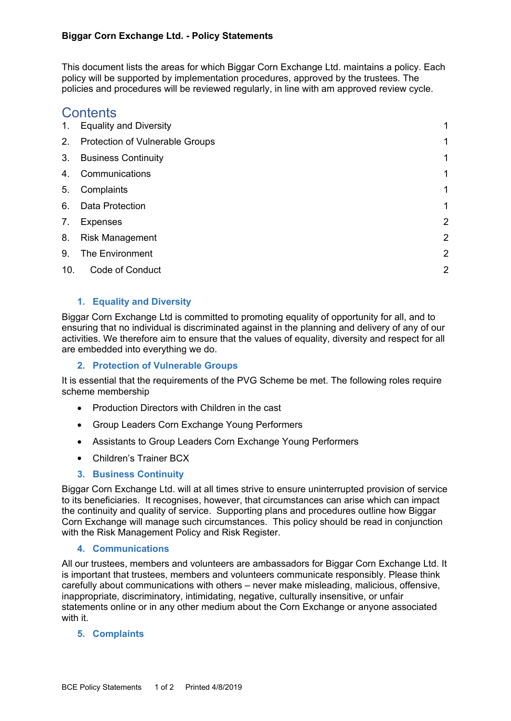This document lists the areas for which Biggar Corn Exchange Ltd. maintains a policy. Each policy will be supported by implementation procedures, approved by the trustees. The policies and procedures will be reviewed regularly, in line with am approved review cycle.

# **Contents**

| 1.  | <b>Equality and Diversity</b>   |                |
|-----|---------------------------------|----------------|
| 2.  | Protection of Vulnerable Groups |                |
| 3.  | <b>Business Continuity</b>      |                |
| 4.  | Communications                  | 1              |
| 5.  | Complaints                      |                |
| 6.  | Data Protection                 |                |
| 7.  | <b>Expenses</b>                 | 2              |
| 8.  | <b>Risk Management</b>          | 2              |
| 9.  | The Environment                 | $\overline{2}$ |
| 10. | Code of Conduct                 | 2              |
|     |                                 |                |

# **1. Equality and Diversity**

Biggar Corn Exchange Ltd is committed to promoting equality of opportunity for all, and to ensuring that no individual is discriminated against in the planning and delivery of any of our activities. We therefore aim to ensure that the values of equality, diversity and respect for all are embedded into everything we do.

## **2. Protection of Vulnerable Groups**

It is essential that the requirements of the PVG Scheme be met. The following roles require scheme membership

- Production Directors with Children in the cast
- Group Leaders Corn Exchange Young Performers
- Assistants to Group Leaders Corn Exchange Young Performers
- Children's Trainer BCX

# **3. Business Continuity**

Biggar Corn Exchange Ltd. will at all times strive to ensure uninterrupted provision of service to its beneficiaries. It recognises, however, that circumstances can arise which can impact the continuity and quality of service. Supporting plans and procedures outline how Biggar Corn Exchange will manage such circumstances. This policy should be read in conjunction with the Risk Management Policy and Risk Register.

## **4. Communications**

All our trustees, members and volunteers are ambassadors for Biggar Corn Exchange Ltd. It is important that trustees, members and volunteers communicate responsibly. Please think carefully about communications with others – never make misleading, malicious, offensive, inappropriate, discriminatory, intimidating, negative, culturally insensitive, or unfair statements online or in any other medium about the Corn Exchange or anyone associated with it.

## **5. Complaints**